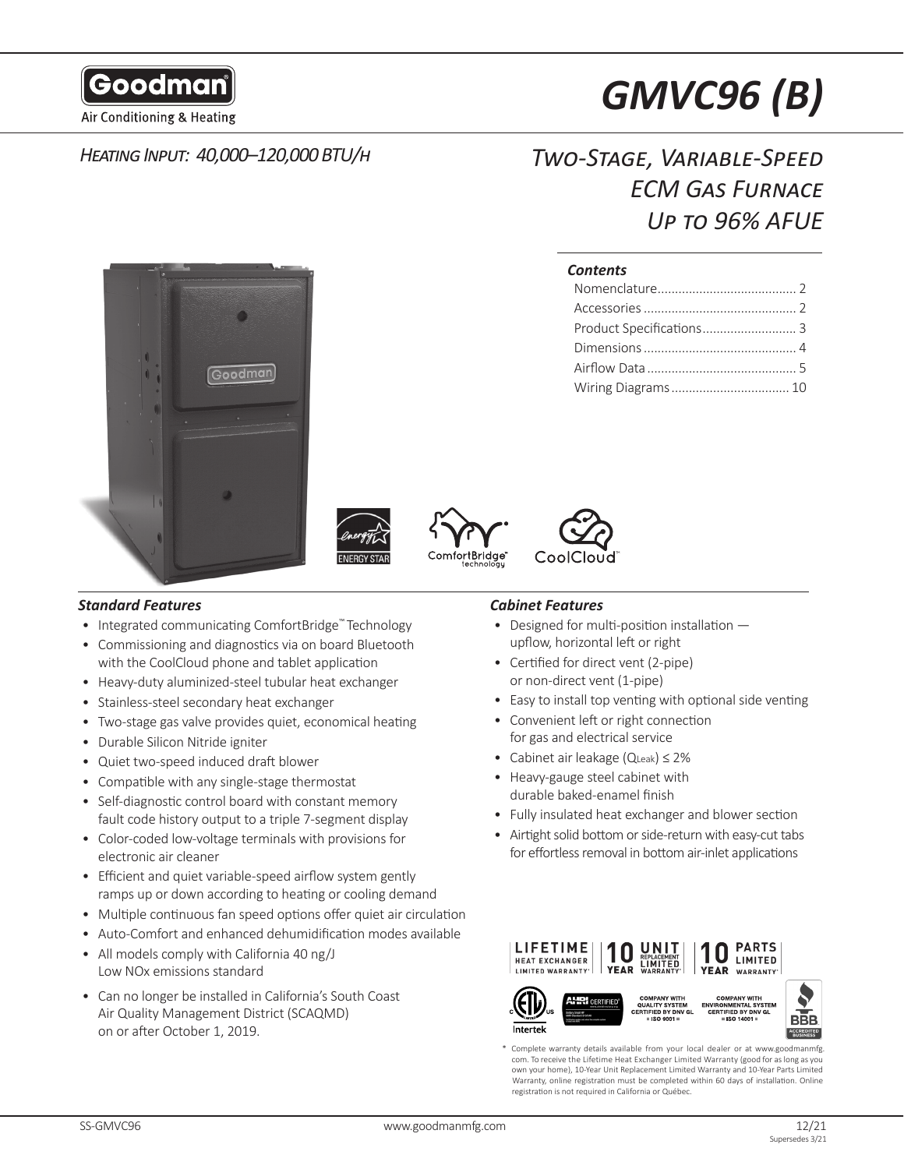

Air Conditioning & Heating

# *Heating Input: 40,000–120,000 BTU/h*

# *GMVC96 (B)*

# *Two-Stage, Variable-Speed ECM Gas Furnace Up to 96% AFUE*

# *Contents*









# *Standard Features Cabinet Features*

- Integrated communicating ComfortBridge™ Technology
- Commissioning and diagnostics via on board Bluetooth with the CoolCloud phone and tablet application
- Heavy-duty aluminized-steel tubular heat exchanger
- Stainless-steel secondary heat exchanger
- Two-stage gas valve provides quiet, economical heating
- Durable Silicon Nitride igniter
- Quiet two-speed induced draft blower
- Compatible with any single-stage thermostat
- Self-diagnostic control board with constant memory fault code history output to a triple 7-segment display
- Color-coded low-voltage terminals with provisions for electronic air cleaner
- Efficient and quiet variable-speed airflow system gently ramps up or down according to heating or cooling demand
- Multiple continuous fan speed options offer quiet air circulation
- Auto-Comfort and enhanced dehumidification modes available
- All models comply with California 40 ng/J Low NOx emissions standard
- Can no longer be installed in California's South Coast Air Quality Management District (SCAQMD) on or after October 1, 2019.

**Intertek** 

- Designed for multi-position installation upflow, horizontal left or right
- Certified for direct vent (2-pipe) or non-direct vent (1-pipe)
- Easy to install top venting with optional side venting
- Convenient left or right connection for gas and electrical service
- Cabinet air leakage (QLeak) ≤ 2%
- Heavy-gauge steel cabinet with durable baked-enamel finish
- Fully insulated heat exchanger and blower section
- Airtight solid bottom or side-return with easy-cut tabs for effortless removal in bottom air-inlet applications



Complete warranty details available from your local dealer or at www.goodmanmfg. com. To receive the Lifetime Heat Exchanger Limited Warranty (good for as long as you own your home), 10-Year Unit Replacement Limited Warranty and 10-Year Parts Limited Warranty, online registration must be completed within 60 days of installation. Online registration is not required in California or Québec.

**BBB** 



″ai  $\frac{6001}{9001}$ 

 $=$  ISO 14001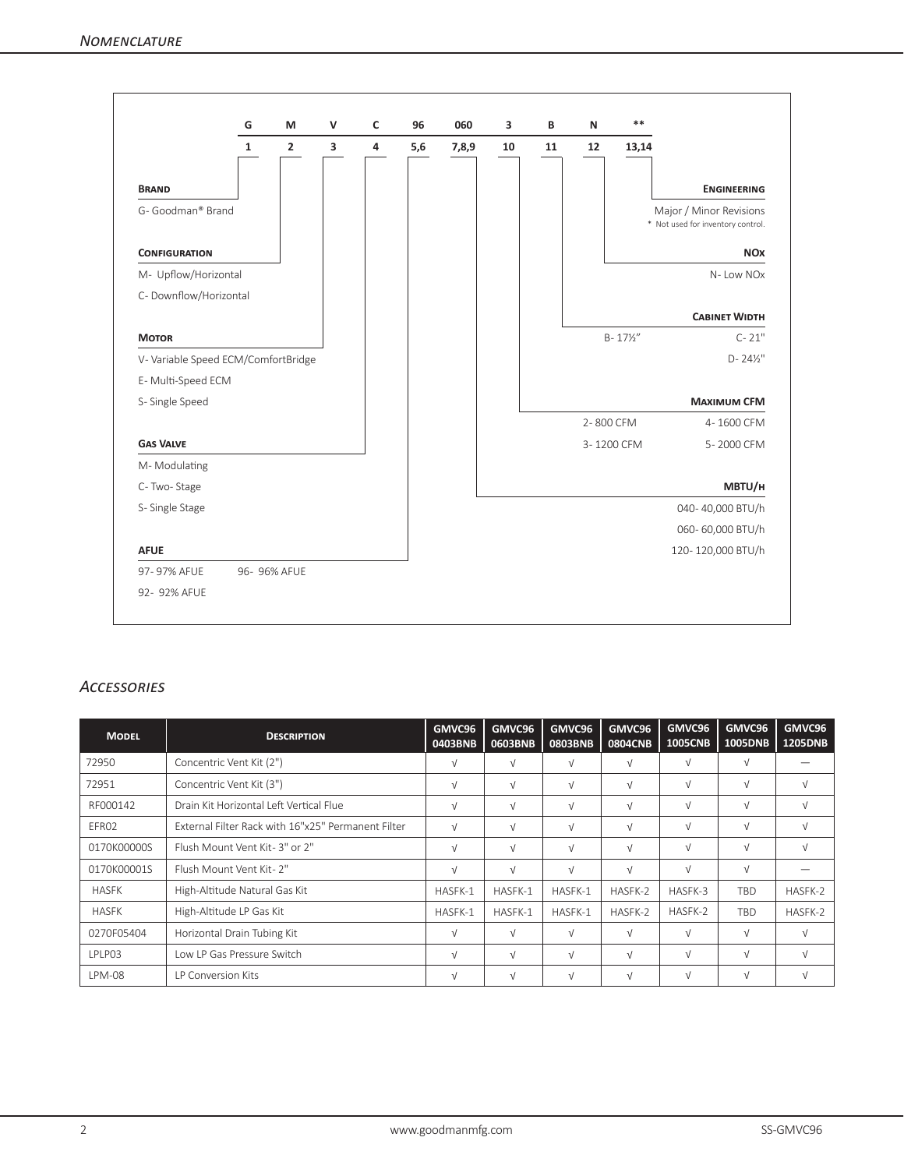|                                     | G            | M              | $\mathsf{v}$ | c                       | 96  | 060   | 3  | B  | N         | $**$                |                                                              |
|-------------------------------------|--------------|----------------|--------------|-------------------------|-----|-------|----|----|-----------|---------------------|--------------------------------------------------------------|
|                                     | $\mathbf{1}$ | $\overline{2}$ | 3            | $\overline{\mathbf{4}}$ | 5,6 | 7,8,9 | 10 | 11 | 12        | 13,14               |                                                              |
| <b>BRAND</b>                        |              |                |              |                         |     |       |    |    |           |                     | <b>ENGINEERING</b>                                           |
| G- Goodman® Brand                   |              |                |              |                         |     |       |    |    |           |                     | Major / Minor Revisions<br>* Not used for inventory control. |
| <b>CONFIGURATION</b>                |              |                |              |                         |     |       |    |    |           |                     | <b>NO<sub>x</sub></b>                                        |
| M- Upflow/Horizontal                |              |                |              |                         |     |       |    |    |           |                     | N-Low NOx                                                    |
| C- Downflow/Horizontal              |              |                |              |                         |     |       |    |    |           |                     |                                                              |
|                                     |              |                |              |                         |     |       |    |    |           |                     | <b>CABINET WIDTH</b>                                         |
| <b>MOTOR</b>                        |              |                |              |                         |     |       |    |    |           | $B - 17\frac{1}{2}$ | $C - 21"$                                                    |
| V- Variable Speed ECM/ComfortBridge |              |                |              |                         |     |       |    |    |           |                     | $D - 24\frac{1}{2}$                                          |
| E-Multi-Speed ECM                   |              |                |              |                         |     |       |    |    |           |                     |                                                              |
| S-Single Speed                      |              |                |              |                         |     |       |    |    |           |                     | <b>MAXIMUM CFM</b>                                           |
|                                     |              |                |              |                         |     |       |    |    | 2-800 CFM |                     | 4-1600 CFM                                                   |
| <b>GAS VALVE</b>                    |              |                |              |                         |     |       |    |    |           | 3-1200 CFM          | 5-2000 CFM                                                   |
| M-Modulating                        |              |                |              |                         |     |       |    |    |           |                     |                                                              |
| C-Two-Stage                         |              |                |              |                         |     |       |    |    |           |                     | MBTU/H                                                       |
| S-Single Stage                      |              |                |              |                         |     |       |    |    |           |                     | 040-40,000 BTU/h                                             |
|                                     |              |                |              |                         |     |       |    |    |           |                     | 060-60,000 BTU/h                                             |
| <b>AFUE</b>                         |              |                |              |                         |     |       |    |    |           |                     | 120-120,000 BTU/h                                            |
| 97-97% AFUE                         |              | 96- 96% AFUE   |              |                         |     |       |    |    |           |                     |                                                              |
| 92- 92% AFUE                        |              |                |              |                         |     |       |    |    |           |                     |                                                              |

# *Accessories*

| <b>MODEL</b>  | <b>DESCRIPTION</b>                                 | GMVC96<br>0403BNB | GMVC96<br>0603BNB | GMVC96<br><b>0803BNB</b> | GMVC96<br><b>0804CNB</b> | GMVC96<br><b>1005CNB</b> | GMVC96<br>1005DNB | GMVC96<br><b>1205DNB</b> |
|---------------|----------------------------------------------------|-------------------|-------------------|--------------------------|--------------------------|--------------------------|-------------------|--------------------------|
| 72950         | Concentric Vent Kit (2")                           | V                 | $\sqrt{ }$        | $\sqrt{ }$               | ν                        | $\sqrt{}$                | $\sqrt{ }$        |                          |
| 72951         | Concentric Vent Kit (3")                           | $\sqrt{ }$        | $\sqrt{ }$        | $\sqrt{ }$               | $\sqrt{}$                | $\sqrt{}$                | $\sqrt{ }$        | $\sqrt{ }$               |
| RF000142      | Drain Kit Horizontal Left Vertical Flue            | $\sqrt{ }$        | $\sqrt{ }$        | $\sqrt{ }$               | $\sqrt{}$                | $\sqrt{}$                | $\sqrt{ }$        | $\sqrt{ }$               |
| EFR02         | External Filter Rack with 16"x25" Permanent Filter | $\sqrt{ }$        | $\sqrt{ }$        | $\sqrt{ }$               | V                        | $\sqrt{}$                | $\sqrt{ }$        | $\sqrt{ }$               |
| 0170K00000S   | Flush Mount Vent Kit-3" or 2"                      | $\sqrt{ }$        | $\sqrt{ }$        | $\sqrt{ }$               | $\sqrt{}$                | $\sqrt{}$                | $\sqrt{ }$        | $\sqrt{ }$               |
| 0170K00001S   | Flush Mount Vent Kit- 2"                           | $\sqrt{ }$        | $\sqrt{ }$        | $\sqrt{ }$               | $\sqrt{}$                | $\sqrt{}$                | $\sqrt{ }$        |                          |
| <b>HASFK</b>  | High-Altitude Natural Gas Kit                      | HASFK-1           | HASFK-1           | HASFK-1                  | HASFK-2                  | HASFK-3                  | <b>TBD</b>        | HASFK-2                  |
| <b>HASFK</b>  | High-Altitude LP Gas Kit                           | HASFK-1           | HASFK-1           | HASFK-1                  | HASFK-2                  | HASFK-2                  | <b>TBD</b>        | HASFK-2                  |
| 0270F05404    | Horizontal Drain Tubing Kit                        | $\sqrt{ }$        | $\sqrt{ }$        | $\sqrt{ }$               | $\sqrt{ }$               | $\sqrt{}$                | $\sqrt{ }$        | $\sqrt{ }$               |
| <b>IPIP03</b> | Low LP Gas Pressure Switch                         | $\sqrt{ }$        | $\sqrt{ }$        | $\sqrt{ }$               | $\sqrt{}$                | $\sqrt{}$                | $\sqrt{ }$        | $\sqrt{ }$               |
| <b>LPM-08</b> | <b>IP Conversion Kits</b>                          | ν                 | $\sqrt{ }$        | $\sqrt{ }$               | $\sqrt{ }$               | V                        |                   | $\sqrt{ }$               |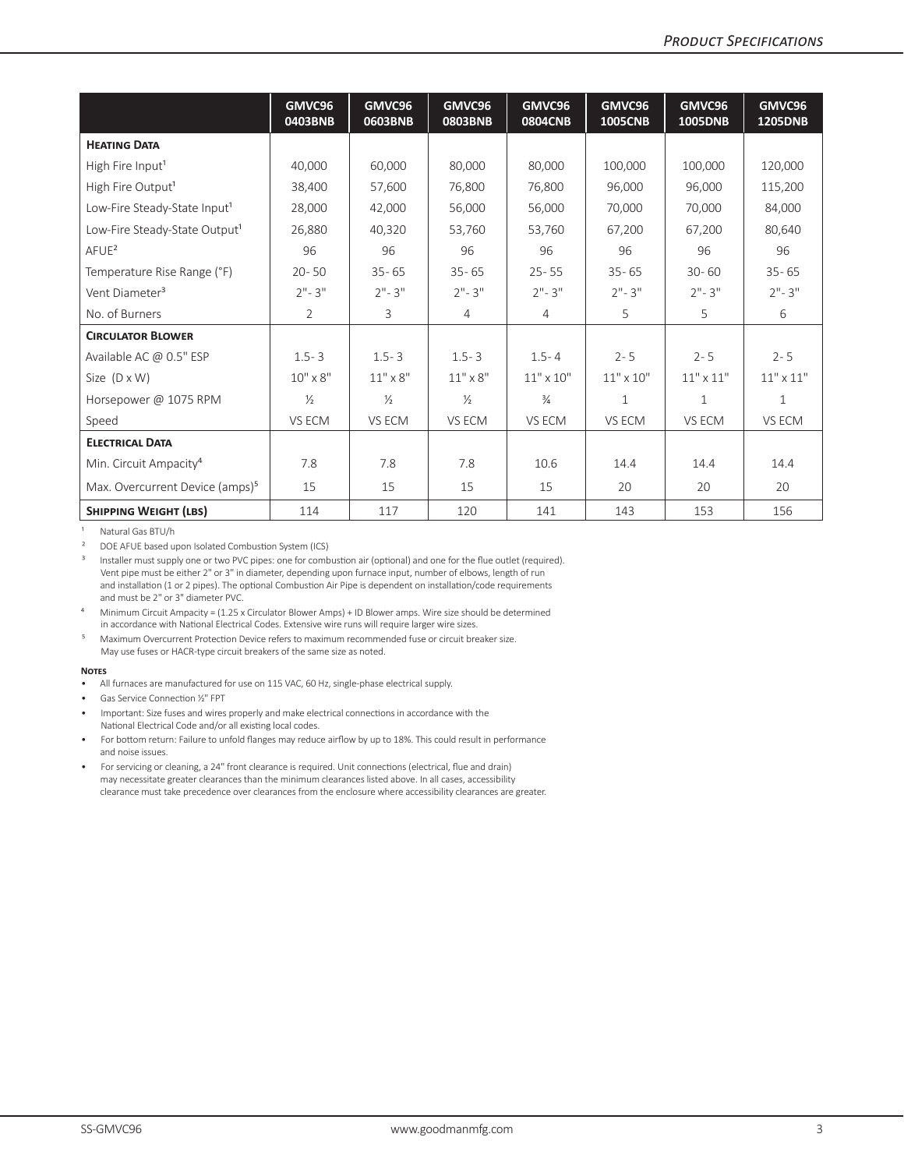|                                             | GMVC96<br>0403BNB | GMVC96<br>0603BNB | GMVC96<br><b>0803BNB</b> | GMVC96<br><b>0804CNB</b> | GMVC96<br><b>1005CNB</b> | GMVC96<br>1005DNB | GMVC96<br><b>1205DNB</b> |
|---------------------------------------------|-------------------|-------------------|--------------------------|--------------------------|--------------------------|-------------------|--------------------------|
| <b>HEATING DATA</b>                         |                   |                   |                          |                          |                          |                   |                          |
| High Fire Input <sup>1</sup>                | 40,000            | 60,000            | 80,000                   | 80,000                   | 100,000                  | 100,000           | 120,000                  |
| High Fire Output <sup>1</sup>               | 38,400            | 57.600            | 76,800                   | 76,800                   | 96.000                   | 96.000            | 115,200                  |
| Low-Fire Steady-State Input <sup>1</sup>    | 28,000            | 42,000            | 56.000                   | 56.000                   | 70.000                   | 70,000            | 84,000                   |
| Low-Fire Steady-State Output <sup>1</sup>   | 26,880            | 40.320            | 53,760                   | 53,760                   | 67,200                   | 67,200            | 80,640                   |
| A FUE <sup>2</sup>                          | 96                | 96                | 96                       | 96                       | 96                       | 96                | 96                       |
| Temperature Rise Range (°F)                 | $20 - 50$         | $35 - 65$         | $35 - 65$                | $25 - 55$                | $35 - 65$                | $30 - 60$         | $35 - 65$                |
| Vent Diameter <sup>3</sup>                  | $2" - 3"$         | $2" - 3"$         | $2" - 3"$                | $2" - 3"$                | $2" - 3"$                | $2" - 3"$         | $2" - 3"$                |
| No. of Burners                              | $\overline{2}$    | 3                 | 4                        | 4                        | 5                        | 5                 | 6                        |
| <b>CIRCULATOR BLOWER</b>                    |                   |                   |                          |                          |                          |                   |                          |
| Available AC @ 0.5" ESP                     | $1.5 - 3$         | $1.5 - 3$         | $1.5 - 3$                | $1.5 - 4$                | $2 - 5$                  | $2 - 5$           | $2 - 5$                  |
| Size $(D \times W)$                         | $10'' \times 8''$ | $11" \times 8"$   | $11" \times 8"$          | $11" \times 10"$         | $11" \times 10"$         | $11"$ x $11"$     | $11" \times 11"$         |
| Horsepower @ 1075 RPM                       | $\frac{1}{2}$     | $\frac{1}{2}$     | $\frac{1}{2}$            | $\frac{3}{4}$            | $\mathbf{1}$             | 1                 | $\mathbf{1}$             |
| Speed                                       | VS ECM            | VS ECM            | VS ECM                   | VS ECM                   | VS ECM                   | VS ECM            | VS ECM                   |
| <b>ELECTRICAL DATA</b>                      |                   |                   |                          |                          |                          |                   |                          |
| Min. Circuit Ampacity <sup>4</sup>          | 7.8               | 7.8               | 7.8                      | 10.6                     | 14.4                     | 14.4              | 14.4                     |
| Max. Overcurrent Device (amps) <sup>5</sup> | 15                | 15                | 15                       | 15                       | 20                       | 20                | 20                       |
| <b>SHIPPING WEIGHT (LBS)</b>                | 114               | 117               | 120                      | 141                      | 143                      | 153               | 156                      |

Natural Gas BTU/h

<sup>2</sup> DOE AFUE based upon Isolated Combustion System (ICS)<sup>3</sup> Installer must supply one or two BVC pipes: one for comb

Installer must supply one or two PVC pipes: one for combustion air (optional) and one for the flue outlet (required). Vent pipe must be either 2" or 3" in diameter, depending upon furnace input, number of elbows, length of run and installation (1 or 2 pipes). The optional Combustion Air Pipe is dependent on installation/code requirements and must be 2" or 3" diameter PVC.

⁴ Minimum Circuit Ampacity = (1.25 x Circulator Blower Amps) + ID Blower amps. Wire size should be determined in accordance with National Electrical Codes. Extensive wire runs will require larger wire sizes.

<sup>5</sup> Maximum Overcurrent Protection Device refers to maximum recommended fuse or circuit breaker size. May use fuses or HACR-type circuit breakers of the same size as noted.

#### **Notes**

- All furnaces are manufactured for use on 115 VAC, 60 Hz, single-phase electrical supply.
- Gas Service Connection ½" FPT
- Important: Size fuses and wires properly and make electrical connections in accordance with the National Electrical Code and/or all existing local codes.
- For bottom return: Failure to unfold flanges may reduce airflow by up to 18%. This could result in performance and noise issues.
- For servicing or cleaning, a 24" front clearance is required. Unit connections (electrical, flue and drain) may necessitate greater clearances than the minimum clearances listed above. In all cases, accessibility clearance must take precedence over clearances from the enclosure where accessibility clearances are greater.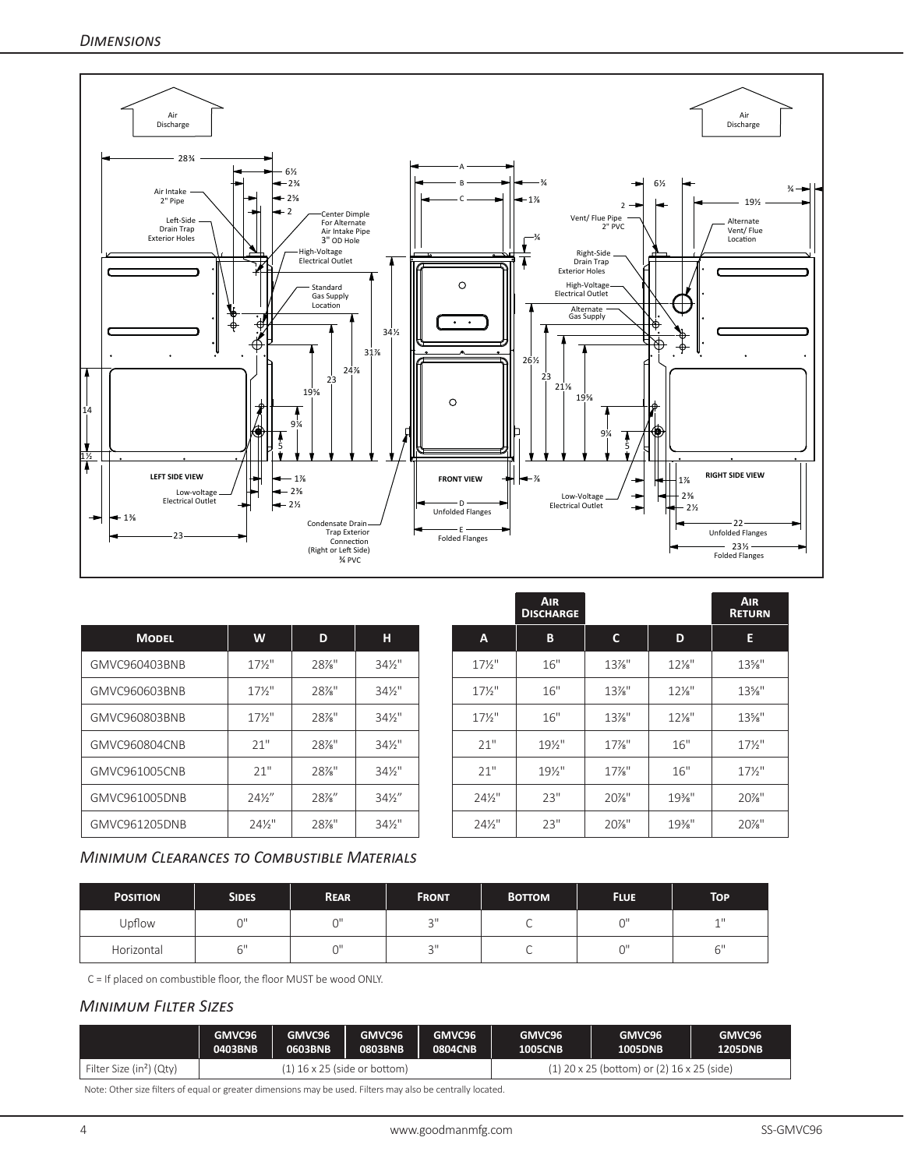

|               |                   |      |                   |                   | <b>AIR</b><br><b>DISCHARGE</b> |              |          | <b>AIR</b><br><b>RETURI</b> |
|---------------|-------------------|------|-------------------|-------------------|--------------------------------|--------------|----------|-----------------------------|
| <b>MODEL</b>  | W                 | D    | H                 | A                 | B                              | $\mathbf{C}$ | D        | Е                           |
| GMVC960403BNB | $17\frac{1}{2}$   | 28%" | $34\frac{1}{2}$ " | $17\frac{1}{2}$   | 16"                            | $13\%$ "     | $12\%$ " | $13\%$ "                    |
| GMVC960603BNB | $17\frac{1}{2}$   | 28%" | $34\frac{1}{2}$ " | $17\frac{1}{2}$   | 16"                            | $13\%$ "     | $12\%$ " | $13\%$ "                    |
| GMVC960803BNB | $17\frac{1}{2}$   | 28%" | $34\frac{1}{2}$ " | $17\frac{1}{2}$   | 16"                            | $13\%$ "     | $12\%$ " | 13%"                        |
| GMVC960804CNB | 21"               | 28%" | $34\frac{1}{2}$ " | 21"               | 19½"                           | $17\%$ "     | 16"      | $17\frac{1}{2}$             |
| GMVC961005CNB | 21"               | 28%" | $34\frac{1}{2}$ " | 21"               | 19½"                           | $17%$ "      | 16"      | $17\frac{1}{2}$             |
| GMVC961005DNB | $24\frac{1}{2}$   | 28%" | $34\frac{1}{2}$   | $24\frac{1}{2}$ " | 23"                            | 20%"         | $19\%$ " | 20%"                        |
| GMVC961205DNB | $24\frac{1}{2}$ " | 28%" | $34\frac{1}{2}$ " | $24\frac{1}{2}$ " | 23"                            | 20%"         | $19\%$ " | 20%"                        |

# *Minimum Clearances to Combustible Materials*

| <b>POSITION</b> | <b>SIDES</b> | <b>REAR</b> | <b>FRONT</b>   | <b>BOTTOM</b> | <b>FLUE</b> | <b>TOP</b>                    |
|-----------------|--------------|-------------|----------------|---------------|-------------|-------------------------------|
| Upflow          | $\sim$       | $\sim$      | $\sim$ II<br>◡ |               | $\sim$      | $-111$                        |
| Horizontal      | $\sim$ 1     | $\sim$      | $\sim$ II      |               | $\sim$      | $\mathsf{C}^{\, \mathsf{II}}$ |

C = If placed on combustible floor, the floor MUST be wood ONLY.

# *Minimum Filter Sizes*

|                                      | GMVC96  | GMVC96  | GMVC96                       | GMVC96         | GMVC96         | GMVC96                                         | GMVC96         |
|--------------------------------------|---------|---------|------------------------------|----------------|----------------|------------------------------------------------|----------------|
|                                      | 0403BNB | 0603BNB | <b>0803BNB</b>               | <b>0804CNB</b> | <b>1005CNB</b> | <b>1005DNB</b>                                 | <b>1205DNB</b> |
| Filter Size (in <sup>2</sup> ) (Qty) |         |         | (1) 16 x 25 (side or bottom) |                |                | $(1)$ 20 x 25 (bottom) or $(2)$ 16 x 25 (side) |                |

Note: Other size filters of equal or greater dimensions may be used. Filters may also be centrally located.

**Air Return**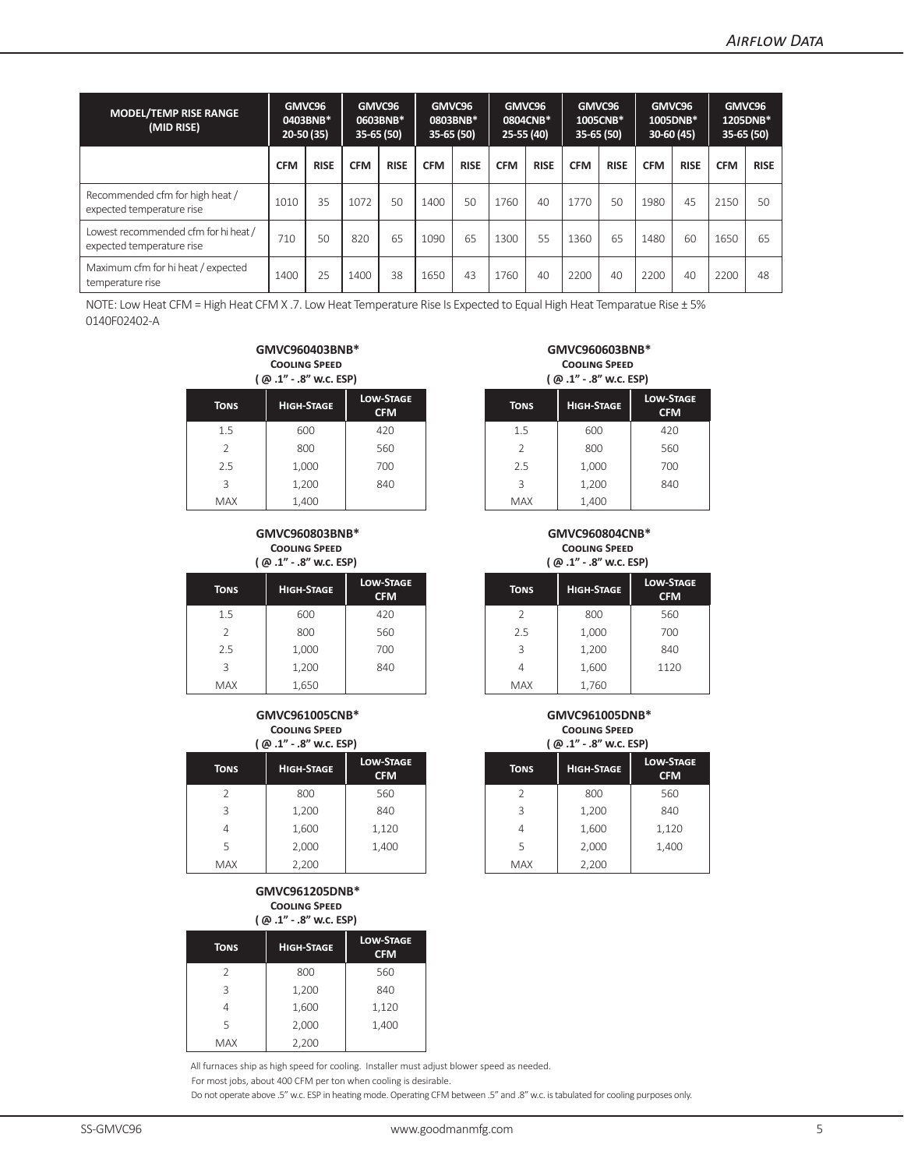| <b>MODEL/TEMP RISE RANGE</b><br>(MID RISE)                        | GMVC96<br>0403BNB*<br>$20-50(35)$ |             | GMVC96<br>0603BNB*<br>$35-65(50)$ |             | GMVC96<br>0803BNB*<br>$35 - 65(50)$ |             | GMVC96<br>0804CNB*<br>25-55 (40) |             | GMVC96<br>1005CNB*<br>$35-65(50)$ |             | GMVC96<br>1005DNB*<br>$30-60(45)$ |             | GMVC96<br>1205DNB*<br>$35-65(50)$ |             |
|-------------------------------------------------------------------|-----------------------------------|-------------|-----------------------------------|-------------|-------------------------------------|-------------|----------------------------------|-------------|-----------------------------------|-------------|-----------------------------------|-------------|-----------------------------------|-------------|
|                                                                   | <b>CFM</b>                        | <b>RISE</b> | <b>CFM</b>                        | <b>RISE</b> | <b>CFM</b>                          | <b>RISE</b> | <b>CFM</b>                       | <b>RISE</b> | <b>CFM</b>                        | <b>RISE</b> | <b>CFM</b>                        | <b>RISE</b> | <b>CFM</b>                        | <b>RISE</b> |
| Recommended cfm for high heat /<br>expected temperature rise      | 1010                              | 35          | 1072                              | 50          | 1400                                | 50          | 1760                             | 40          | 1770                              | 50          | 1980                              | 45          | 2150                              | 50          |
| Lowest recommended cfm for hi heat /<br>expected temperature rise | 710                               | 50          | 820                               | 65          | 1090                                | 65          | 1300                             | 55          | 1360                              | 65          | 1480                              | 60          | 1650                              | 65          |
| Maximum cfm for hi heat / expected<br>temperature rise            | 1400                              | 25          | 1400                              | 38          | 1650                                | 43          | 1760                             | 40          | 2200                              | 40          | 2200                              | 40          | 2200                              | 48          |

NOTE: Low Heat CFM = High Heat CFM X .7. Low Heat Temperature Rise Is Expected to Equal High Heat Temparatue Rise ± 5% 0140F02402-A

#### **GMVC960403BNB\* Cooling Speed ( @ .1" - .8" w.c. ESP)**

|                |                   | ן עש יש יש יש יש               |             | ן עישוויטו - בוישון |        |
|----------------|-------------------|--------------------------------|-------------|---------------------|--------|
| <b>TONS</b>    | <b>HIGH-STAGE</b> | <b>LOW-STAGE</b><br><b>CFM</b> | <b>TONS</b> | <b>HIGH-STAGE</b>   | LOW-ST |
| 1.5            | 600               | 420                            | 1.5         | 600                 |        |
| $\overline{2}$ | 800               | 560                            |             | 800                 |        |
| 2.5            | 1,000             | 700                            | 2.5         | 1,000               |        |
| 3              | 1,200             | 840                            | 3           | 1,200               |        |
| <b>MAX</b>     | 1,400             |                                | <b>MAX</b>  | 1,400               |        |

#### **GMVC960803BNB\* Cooling Speed**  $\ell \approx 4$ <sup>*N*</sup>  $\omega$ <sup>*N*</sup>  $\cdots$   $\approx$  ECD)

|             | ا P . L . O W. L. EJ P . L . L . L |                                |             | <b>/ ۳۰۰٬ ۲۰۰٬ ۳۰۰٬ ۳۰۰٬ ۱</b> |                       |
|-------------|------------------------------------|--------------------------------|-------------|--------------------------------|-----------------------|
| <b>TONS</b> | <b>HIGH-STAGE</b>                  | <b>LOW-STAGE</b><br><b>CFM</b> | <b>TONS</b> | <b>HIGH-STAGE</b>              | LOW-ST/<br><b>CFM</b> |
| 1.5         | 600                                | 420                            |             | 800                            |                       |
| 2           | 800                                | 560                            | 2.5         | 1,000                          |                       |
| 2.5         | 1,000                              | 700                            | 3           | 1,200                          |                       |
| 3           | 1,200                              | 840                            | 4           | 1,600                          | 1120                  |
| <b>MAX</b>  | 1,650                              |                                | <b>MAX</b>  | 1,760                          |                       |

#### **GMVC961005CNB\* Cooling Speed ( @ .1" - .8" w.c. ESP)**

|             | $\sim$<br>$\sim$ $\cdots$ |                                |             | ו ושם ושיאור שו   |                       |
|-------------|---------------------------|--------------------------------|-------------|-------------------|-----------------------|
| <b>TONS</b> | <b>HIGH-STAGE</b>         | <b>LOW-STAGE</b><br><b>CFM</b> | <b>TONS</b> | <b>HIGH-STAGE</b> | LOW-STA<br><b>CFM</b> |
| 2           | 800                       | 560                            |             | 800               | 560                   |
| 3           | 1,200                     | 840                            | 3           | 1,200             | 840                   |
| 4           | 1,600                     | 1,120                          | 4           | 1,600             | 1,120                 |
| 5           | 2,000                     | 1,400                          | 5           | 2,000             | 1,400                 |
| <b>MAX</b>  | 2,200                     |                                | <b>MAX</b>  | 2,200             |                       |

#### **GMVC961205DNB\* Cooling Speed ( @ .1" - .8" w.c. ESP)**

| $\sim$        |                   |                                |  |  |  |  |  |  |  |  |
|---------------|-------------------|--------------------------------|--|--|--|--|--|--|--|--|
| <b>TONS</b>   | <b>HIGH-STAGE</b> | <b>LOW-STAGE</b><br><b>CFM</b> |  |  |  |  |  |  |  |  |
| $\mathcal{I}$ | 800               | 560                            |  |  |  |  |  |  |  |  |
| 3             | 1,200             | 840                            |  |  |  |  |  |  |  |  |
|               | 1,600             | 1,120                          |  |  |  |  |  |  |  |  |
| 5             | 2,000             | 1,400                          |  |  |  |  |  |  |  |  |
| <b>MAX</b>    | 2,200             |                                |  |  |  |  |  |  |  |  |

All furnaces ship as high speed for cooling. Installer must adjust blower speed as needed. For most jobs, about 400 CFM per ton when cooling is desirable.

Do not operate above .5" w.c. ESP in heating mode. Operating CFM between .5" and .8" w.c. is tabulated for cooling purposes only.

## **GMVC960603BNB\* Cooling Speed ( @ .1" - .8" w.c. ESP)**

| N-STAGE<br><b>CFM</b> | <b>TONS</b>   | <b>HIGH-STAGE</b> | <b>LOW-STAGE</b><br><b>CFM</b> |
|-----------------------|---------------|-------------------|--------------------------------|
| 420                   | 1.5           | 600               | 420                            |
| 560                   | $\mathcal{P}$ | 800               | 560                            |
| 700                   | 2.5           | 1,000             | 700                            |
| 840                   | 3             | 1,200             | 840                            |
|                       | <b>MAX</b>    | 1,400             |                                |

## **GMVC960804CNB\* Cooling Speed**

**( @ .1" - .8" w.c. ESP)**

| N-STAGE<br><b>CFM</b> | <b>TONS</b> | <b>HIGH-STAGE</b> | <b>LOW-STAGE</b><br><b>CFM</b> |
|-----------------------|-------------|-------------------|--------------------------------|
| 420                   |             | 800               | 560                            |
| 560                   | 2.5         | 1,000             | 700                            |
| 700                   | 3           | 1,200             | 840                            |
| 840                   | 4           | 1,600             | 1120                           |
|                       | <b>MAX</b>  | 760               |                                |

#### **GMVC961005DNB\* Cooling Speed ( @ .1" - .8" w.c. ESP)**

| N-STAGE<br><b>CFM</b> |  | <b>TONS</b>              | <b>HIGH-STAGE</b> | <b>LOW-STAGE</b><br><b>CFM</b> |  |
|-----------------------|--|--------------------------|-------------------|--------------------------------|--|
| 560                   |  | $\overline{\phantom{a}}$ | 800               | 560                            |  |
| 840                   |  | 3                        | 1,200             | 840                            |  |
| l,120                 |  | 4                        | 1,600             | 1,120                          |  |
| 1,400                 |  | 5                        | 2,000             | 1,400                          |  |
|                       |  | <b>MAX</b>               | 2,200             |                                |  |